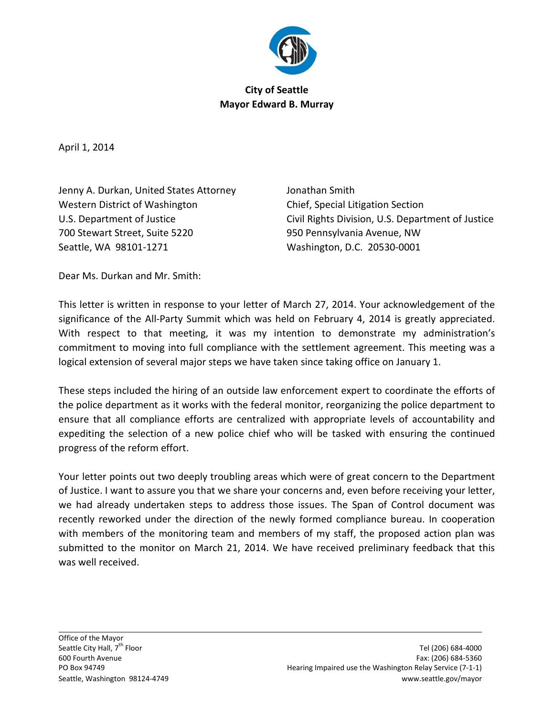

## **City of Seattle Mayor Edward B. Murray**

April 1, 2014

Jenny A. Durkan, United States Attorney Jonathan Smith Western District of Washington **Chief**, Special Litigation Section 700 Stewart Street, Suite 5220 950 Pennsylvania Avenue, NW Seattle, WA 98101-1271 Washington, D.C. 20530-0001

U.S. Department of Justice Civil Rights Division, U.S. Department of Justice

Dear Ms. Durkan and Mr. Smith:

This letter is written in response to your letter of March 27, 2014. Your acknowledgement of the significance of the All-Party Summit which was held on February 4, 2014 is greatly appreciated. With respect to that meeting, it was my intention to demonstrate my administration's commitment to moving into full compliance with the settlement agreement. This meeting was a logical extension of several major steps we have taken since taking office on January 1.

These steps included the hiring of an outside law enforcement expert to coordinate the efforts of the police department as it works with the federal monitor, reorganizing the police department to ensure that all compliance efforts are centralized with appropriate levels of accountability and expediting the selection of a new police chief who will be tasked with ensuring the continued progress of the reform effort.

Your letter points out two deeply troubling areas which were of great concern to the Department of Justice. I want to assure you that we share your concerns and, even before receiving your letter, we had already undertaken steps to address those issues. The Span of Control document was recently reworked under the direction of the newly formed compliance bureau. In cooperation with members of the monitoring team and members of my staff, the proposed action plan was submitted to the monitor on March 21, 2014. We have received preliminary feedback that this was well received.